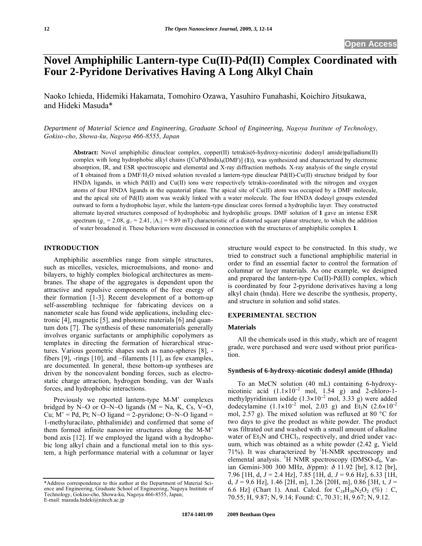# **Novel Amphiphilic Lantern-type Cu(II)-Pd(II) Complex Coordinated with Four 2-Pyridone Derivatives Having A Long Alkyl Chain**

Naoko Ichieda, Hidemiki Hakamata, Tomohiro Ozawa, Yasuhiro Funahashi, Koichiro Jitsukawa, and Hideki Masuda\*

*Department of Material Science and Engineering, Graduate School of Engineering, Nagoya Institute of Technology, Gokiso-cho, Showa-ku, Nagoya 466-8555, Japan* 

**Abstract:** Novel amphiphilic dinuclear complex, copper(II) tetrakis(6-hydroxy-nicotinic dodesyl amide)palladium(II) complex with long hydrophobic alkyl chains ([CuPd(hnda)4(DMF)] (**1**)), was synthesized and characterized by electronic absorption, IR, and ESR spectroscopic and elemental and X-ray diffraction methods. X-ray analysis of the single crystal of **1** obtained from a DMF/H2O mixed solution revealed a lantern-type dinuclear Pd(II)-Cu(II) structure bridged by four HNDA ligands, in which Pd(II) and Cu(II) ions were respectively tetrakis-coordinated with the nitrogen and oxygen atoms of four HNDA ligands in the equatorial plane. The apical site of Cu(II) atom was occupied by a DMF molecule, and the apical site of Pd(II) atom was weakly linked with a water molecule. The four HNDA dodesyl groups extended outward to form a hydrophobic layer, while the lantern-type dinuclear cores formed a hydrophilic layer. They constructed alternate layered structures composed of hydrophobic and hydrophilic groups. DMF solution of **1** gave an intense ESR spectrum ( $g_{\perp}$  = 2.08,  $g_{\parallel}$  = 2.41,  $|A_{\parallel}|$  = 9.89 mT) characteristic of a distorted square planar structure, to which the addition of water broadened it. These behaviors were discussed in connection with the structures of amphiphilic complex **1**.

## **INTRODUCTION**

Amphiphilic assemblies range from simple structures, such as micelles, vesicles, microemulsions, and mono- and bilayers, to highly complex biological architectures as membranes. The shape of the aggregates is dependent upon the attractive and repulsive components of the free energy of their formation [1-3]. Recent development of a bottom-up self-assembling technique for fabricating devices on a nanometer scale has found wide applications, including electronic [4], magnetic [5], and photonic materials [6] and quantum dots [7]. The synthesis of these nanomaterials generally involves organic surfactants or amphiphilic copolymers as templates in directing the formation of hierarchical structures. Various geometric shapes such as nano-spheres [8], fibers [9], -rings [10], and –filaments [11], as few examples, are documented. In general, these bottom-up syntheses are driven by the noncovalent bonding forces, such as electrostatic charge attraction, hydrogen bonding, van der Waals forces, and hydrophobic interactions.

Previously we reported lantern-type M-M' complexes bridged by N~O or O~N~O ligands ( $M = Na$ , K, Cs, V=O, Cu;  $M' = Pd$ , Pt; N~O ligand = 2-pyridone; O~N~O ligand = 1-methyluracilato, phthalimide) and confirmed that some of them formed infinite nanowire structures along the M-M' bond axis [12]. If we employed the ligand with a hydrophobic long alkyl chain and a functional metal ion to this system, a high performance material with a columnar or layer

structure would expect to be constructed. In this study, we tried to construct such a functional amphiphilic material in order to find an essential factor to control the formation of columnar or layer materials. As one example, we designed and prepared the lantern-type  $Cu(II)$ -Pd $(II)$  complex, which is coordinated by four 2-pyridone derivatives having a long alkyl chain (hnda). Here we describe the synthesis, property, and structure in solution and solid states.

## **EXPERIMENTAL SECTION**

#### **Materials**

All the chemicals used in this study, which are of reagent grade, were purchased and were used without prior purification.

## **Synthesis of 6-hydroxy-nicotinic dodesyl amide (Hhnda)**

To an MeCN solution (40 mL) containing 6-hydroxynicotinic acid  $(1.1 \times 10^{-2} \text{ mol}, 1.54 \text{ g})$  and 2-chloro-1methylpyridinium iodide  $(1.3 \times 10^{-2} \text{ mol}, 3.33 \text{ g})$  were added dodecylamine  $(1.1 \times 10^{-2} \text{ mol}, 2.03 \text{ g})$  and Et<sub>3</sub>N  $(2.6 \times 10^{-2} \text{ m})$ mol, 2.57 g). The mixed solution was refluxed at 80 °C for two days to give the product as white powder. The product was filtrated out and washed with a small amount of alkaline water of  $Et_3N$  and  $CHCl_3$ , respectively, and dried under vacuum, which was obtained as a white powder (2.42 g, Yield 71%). It was characterized by <sup>1</sup>H-NMR spectroscopy and elemental analysis. <sup>1</sup>H NMR spectroscopy (DMSO- $\overline{d}_6$ , Varian Gemini-300 300 MHz,  $\delta$ /ppm):  $\delta$  11.92 [br], 8.12 [br], 7.96 [1H, d, *J* = 2.4 Hz], 7.85 [1H, d, *J* = 9.6 Hz], 6.33 [1H, d, *J* = 9.6 Hz], 1.46 [2H, m], 1.26 [20H, m], 0.86 [3H, t, *J* = 6.6 Hz] (Chart 1). Anal. Calcd. for  $C_{18}H_{30}N_2O_2$  (%) : C, 70.55; H, 9.87; N, 9.14; Found: C, 70.31; H, 9.67; N, 9.12.

<sup>\*</sup>Address correspondence to this author at the Department of Material Science and Engineering, Graduate School of Engineering, Nagoya Institute of Technology, Gokiso-cho, Showa-ku, Nagoya 466-8555, Japan; E-mail: masuda.hideki@nitech.ac.jp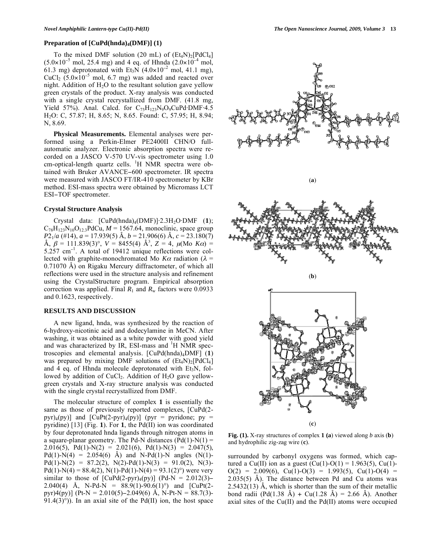#### **Preparation of [CuPd(hnda)**<sub>4</sub>(DMF)] (1)

To the mixed DMF solution (20 mL) of  $(Et<sub>4</sub>N)<sub>2</sub>[PdCl<sub>4</sub>]$  $(5.0 \times 10^{-5} \text{ mol}, 25.4 \text{ mg})$  and 4 eq. of Hhnda  $(2.0 \times 10^{-4} \text{ mol},$ 61.3 mg) deprotonated with Et<sub>3</sub>N  $(4.0 \times 10^{-2} \text{ mol}, 41.1 \text{ mg})$ , CuCl<sub>2</sub>  $(5.0 \times 10^{-5} \text{ mol}, 6.7 \text{ mg})$  was added and reacted over night. Addition of  $H_2O$  to the resultant solution gave yellow green crystals of the product. X-ray analysis was conducted with a single crystal recrystallized from DMF.  $(41.8 \text{ mg})$ , Yield 57%). Anal. Calcd. for  $C_{75}H_{123}N_9O_9CuPd\cdot DMF\cdot 4.5$ H2O: C, 57.87; H, 8.65; N, 8.65. Found: C, 57.95; H, 8.94; N, 8.69.

**Physical Measurements.** Elemental analyses were performed using a Perkin-Elmer PE2400II CHN/O fullautomatic analyzer. Electronic absorption spectra were recorded on a JASCO V-570 UV-vis spectrometer using 1.0 cm-optical-length quartz cells. <sup>1</sup>H NMR spectra were obtained with Bruker AVANCE-600 spectrometer. IR spectra were measured with JASCO FT/IR-410 spectrometer by KBr method. ESI-mass spectra were obtained by Micromass LCT ESI-TOF spectrometer.

#### **Crystal Structure Analysis**

Crystal data:  $[CuPd(hnda)_4(DMF)]$ <sup>2</sup>.3H<sub>2</sub>O·DMF (1);  $C_{78}H_{123}N_{10}O_{12}$ , PdCu,  $M = 1567.64$ , monoclinic, space group *P*21/*a* (#14), *a* = 17.939(5) Å, *b* = 21.906(6) Å, *c* = 23.180(7)  $\hat{A}$ ,  $\beta = 111.839(3)$ °,  $V = 8455(4)$   $\hat{A}$ <sup>3</sup>,  $Z = 4$ ,  $\mu$ (Mo  $K\alpha$ ) =  $5.257$  cm<sup>-1</sup>. A total of 19412 unique reflections were collected with graphite-monochromated Mo  $K\alpha$  radiation ( $\lambda$  = 0.71070 Å) on Rigaku Mercury diffractometer, of which all reflections were used in the structure analysis and refinement using the CrystalStructure program. Empirical absorption correction was applied. Final  $R_1$  and  $R_w$  factors were 0.0933 and 0.1623, respectively.

### **RESULTS AND DISCUSSION**

A new ligand, hnda, was synthesized by the reaction of 6-hydroxy-nicotinic acid and dodecylamine in MeCN. After washing, it was obtained as a white powder with good yield and was characterized by IR, ESI-mass and <sup>1</sup>H NMR spectroscopies and elemental analysis. [CuPd(hnda)4DMF] (**1**) was prepared by mixing DMF solutions of  $(Et_4N)_2[PdCl_4]$ and 4 eq. of Hhnda molecule deprotonated with  $Et<sub>3</sub>N$ , followed by addition of CuCl<sub>2</sub>. Addition of  $H_2O$  gave yellowgreen crystals and X-ray structure analysis was conducted with the single crystal recrystallized from DMF.

The molecular structure of complex **1** is essentially the same as those of previously reported complexes, [CuPd(2 pyr)<sub>4</sub>(py)] and [CuPt(2-pyr)<sub>4</sub>(py)] (pyr = pyridone; py = pyridine) [13] (Fig. **1**). For **1**, the Pd(II) ion was coordinated by four deprotonated hnda ligands through nitrogen atoms in a square-planar geometry. The Pd-N distances  $(Pd(1)-N(1)) =$ 2.016(5), Pd(1)-N(2) = 2.021(6), Pd(1)-N(3) = 2.047(5), Pd(1)-N(4) = 2.054(6) Å) and N-Pd(1)-N angles (N(1)- $Pd(1)-N(2) = 87.2(2), N(2)-Pd(1)-N(3) = 91.0(2), N(3)$  $Pd(1)-N(4) = 88.4(2), N(1)-Pd(1)-N(4) = 93.1(2)°$  were very similar to those of  $[CuPd(2-pyr)_{4}(py)]$  (Pd-N = 2.012(3)-2.040(4) Å, N-Pd-N =  $88.9(1)$ -90.6(1)<sup>o</sup>) and [CuPt(2pyr)4(py)] (Pt-N = 2.010(5)-2.049(6) Å, N-Pt-N = 88.7(3)-91.4(3) $^{\circ}$ )). In an axial site of the Pd(II) ion, the host space



**Fig. (1).** X-ray structures of complex **1 (a**) viewed along *b* axis (**b**) and hydrophilic zig-zag wire (**c**).

surrounded by carbonyl oxygens was formed, which captured a Cu(II) ion as a guest  $(Cu(1)-O(1) = 1.963(5), Cu(1) O(2) = 2.009(6)$ , Cu(1)-O(3) = 1.993(5), Cu(1)-O(4) =  $2.035(5)$  Å). The distance between Pd and Cu atoms was  $2.5432(13)$  Å, which is shorter than the sum of their metallic bond radii (Pd(1.38 Å) + Cu(1.28 Å) = 2.66 Å). Another axial sites of the  $Cu(II)$  and the  $Pd(II)$  atoms were occupied